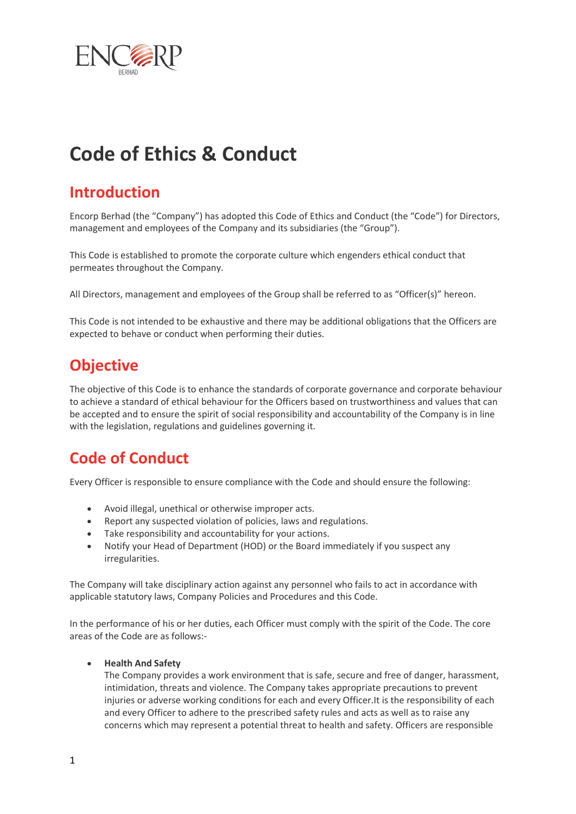

# **Code of Ethics & Conduct**

## **Introduction**

Encorp Berhad (the "Company") has adopted this Code of Ethics and Conduct (the "Code") for Directors, management and employees of the Company and its subsidiaries (the "Group").

This Code is established to promote the corporate culture which engenders ethical conduct that permeates throughout the Company.

All Directors, management and employees of the Group shall be referred to as "Officer(s)" hereon.

This Code is not intended to be exhaustive and there may be additional obligations that the Officers are expected to behave or conduct when performing their duties.

## **Objective**

The objective of this Code is to enhance the standards of corporate governance and corporate behaviour to achieve a standard of ethical behaviour for the Officers based on trustworthiness and values that can be accepted and to ensure the spirit of social responsibility and accountability of the Company is in line with the legislation, regulations and guidelines governing it.

## **Code of Conduct**

Every Officer is responsible to ensure compliance with the Code and should ensure the following:

- Avoid illegal, unethical or otherwise improper acts.
- Report any suspected violation of policies, laws and regulations.
- Take responsibility and accountability for your actions.
- Notify your Head of Department (HOD) or the Board immediately if you suspect any irregularities.

The Company will take disciplinary action against any personnel who fails to act in accordance with applicable statutory laws, Company Policies and Procedures and this Code.

In the performance of his or her duties, each Officer must comply with the spirit of the Code. The core areas of the Code are as follows:-

#### **Health And Safety**

The Company provides a work environment that is safe, secure and free of danger, harassment, intimidation, threats and violence. The Company takes appropriate precautions to prevent injuries or adverse working conditions for each and every Officer.It is the responsibility of each and every Officer to adhere to the prescribed safety rules and acts as well as to raise any concerns which may represent a potential threat to health and safety. Officers are responsible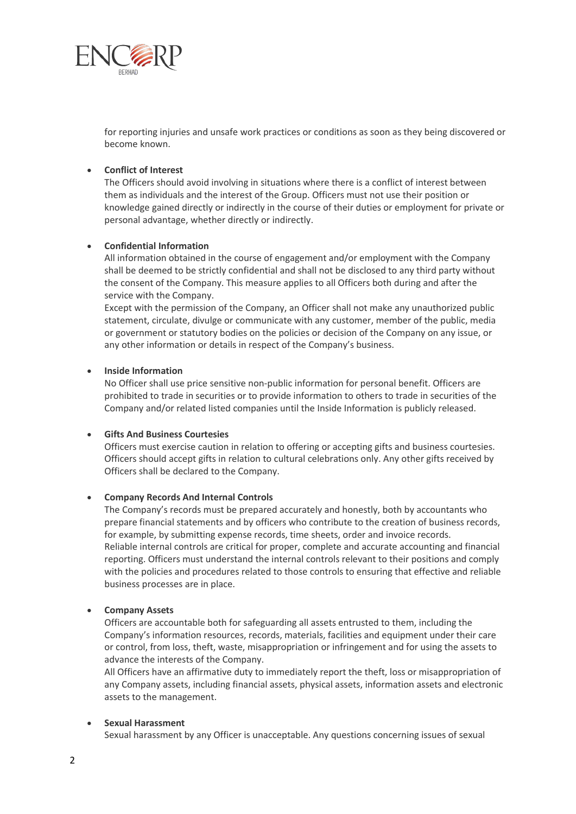

for reporting injuries and unsafe work practices or conditions as soon as they being discovered or become known.

#### **Conflict of Interest**

The Officers should avoid involving in situations where there is a conflict of interest between them as individuals and the interest of the Group. Officers must not use their position or knowledge gained directly or indirectly in the course of their duties or employment for private or personal advantage, whether directly or indirectly.

#### **Confidential Information**

All information obtained in the course of engagement and/or employment with the Company shall be deemed to be strictly confidential and shall not be disclosed to any third party without the consent of the Company. This measure applies to all Officers both during and after the service with the Company.

Except with the permission of the Company, an Officer shall not make any unauthorized public statement, circulate, divulge or communicate with any customer, member of the public, media or government or statutory bodies on the policies or decision of the Company on any issue, or any other information or details in respect of the Company's business.

#### **Inside Information**

No Officer shall use price sensitive non-public information for personal benefit. Officers are prohibited to trade in securities or to provide information to others to trade in securities of the Company and/or related listed companies until the Inside Information is publicly released.

#### **Gifts And Business Courtesies**

Officers must exercise caution in relation to offering or accepting gifts and business courtesies. Officers should accept gifts in relation to cultural celebrations only. Any other gifts received by Officers shall be declared to the Company.

#### **Company Records And Internal Controls**

The Company's records must be prepared accurately and honestly, both by accountants who prepare financial statements and by officers who contribute to the creation of business records, for example, by submitting expense records, time sheets, order and invoice records. Reliable internal controls are critical for proper, complete and accurate accounting and financial reporting. Officers must understand the internal controls relevant to their positions and comply with the policies and procedures related to those controls to ensuring that effective and reliable business processes are in place.

#### **Company Assets**

Officers are accountable both for safeguarding all assets entrusted to them, including the Company's information resources, records, materials, facilities and equipment under their care or control, from loss, theft, waste, misappropriation or infringement and for using the assets to advance the interests of the Company.

All Officers have an affirmative duty to immediately report the theft, loss or misappropriation of any Company assets, including financial assets, physical assets, information assets and electronic assets to the management.

#### **Sexual Harassment**

Sexual harassment by any Officer is unacceptable. Any questions concerning issues of sexual